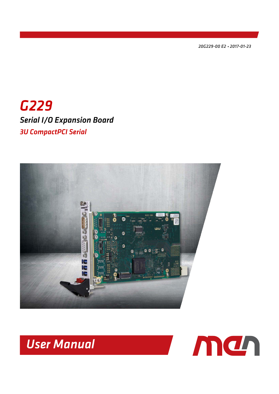<span id="page-0-1"></span><span id="page-0-0"></span>*20G229-00 E2 2017-01-23*

# *G229 Serial I/O Expansion Board 3U CompactPCI Serial*



*User Manual*

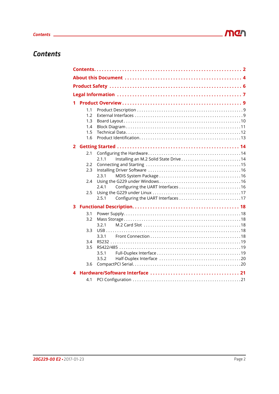# <span id="page-1-0"></span>*Contents*

| 1            |            |                                                |  |
|--------------|------------|------------------------------------------------|--|
|              | 1.1        |                                                |  |
|              | 1.2        |                                                |  |
|              | 1.3        |                                                |  |
|              | 1.4<br>1.5 |                                                |  |
|              | 1.6        |                                                |  |
|              |            |                                                |  |
| $\mathbf{2}$ |            |                                                |  |
|              | 2.1        | Installing an M.2 Solid State Drive14<br>2.1.1 |  |
|              | 2.2        |                                                |  |
|              | 2.3        |                                                |  |
|              |            | 2.3.1                                          |  |
|              | 2.4        |                                                |  |
|              |            | 2.4.1                                          |  |
|              | 2.5        | 2.5.1                                          |  |
|              |            |                                                |  |
| 3            |            |                                                |  |
|              | 3.1        |                                                |  |
|              | 3.2        |                                                |  |
|              | 3.3        | 3.2.1                                          |  |
|              |            | 3.3.1                                          |  |
|              | 3.4        |                                                |  |
|              | 3.5        |                                                |  |
|              |            | 3.5.1                                          |  |
|              |            | 3.5.2                                          |  |
|              | 3.6        |                                                |  |
| 4            |            |                                                |  |
|              | 4.1        |                                                |  |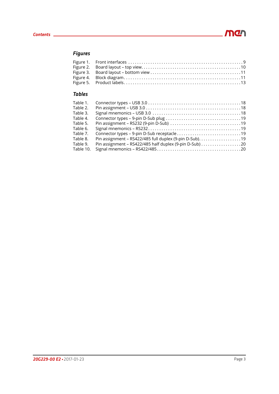# *Figures*

# *Tables*

| Table 1.  |                                                          |
|-----------|----------------------------------------------------------|
| Table 2.  |                                                          |
| Table 3.  |                                                          |
| Table 4.  |                                                          |
| Table 5.  |                                                          |
| Table 6.  |                                                          |
| Table 7.  |                                                          |
| Table 8.  | Pin assignment - RS422/485 full duplex (9-pin D-Sub). 19 |
| Table 9.  | Pin assignment - RS422/485 half duplex (9-pin D-Sub) 20  |
| Table 10. |                                                          |
|           |                                                          |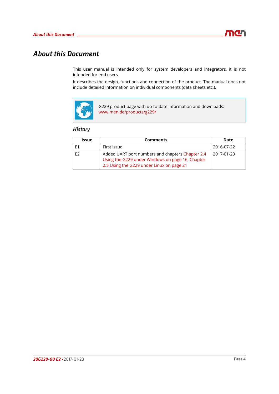# <span id="page-3-0"></span>*About this Document*

This user manual is intended only for system developers and integrators, it is not intended for end users.

It describes the design, functions and connection of the product. The manual does not include detailed information on individual components (data sheets etc.).



G229 product page with up-to-date information and downloads: www.men.de/products/g229/

## *History*

| <b>Issue</b>   | <b>Comments</b>                                                                                                                                   | Date       |
|----------------|---------------------------------------------------------------------------------------------------------------------------------------------------|------------|
|                | First issue                                                                                                                                       | 2016-07-22 |
| F <sub>2</sub> | Added UART port numbers and chapters Chapter 2.4<br>Using the G229 under Windows on page 16, Chapter<br>2.5 Using the G229 under Linux on page 21 | 2017-01-23 |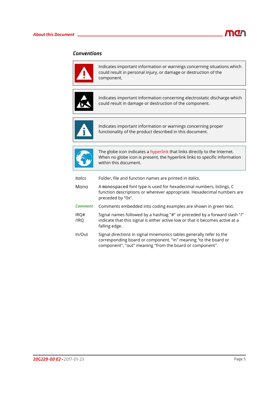

# *Conventions*



Indicates important information or warnings concerning situations which could result in personal injury, or damage or destruction of the component.



Indicates important information concerning electrostatic discharge which could result in damage or destruction of the component.



Indicates important information or warnings concerning proper functionality of the product described in this document.



The globe icon indicates a hyperlink that links directly to the Internet. When no globe icon is present, the hyperlink links to specific information within this document.

| Italics        | Folder, file and function names are printed in <i>italics</i> .                                                                                                                                    |
|----------------|----------------------------------------------------------------------------------------------------------------------------------------------------------------------------------------------------|
| Mono           | A monospaced font type is used for hexadecimal numbers, listings, C<br>function descriptions or wherever appropriate. Hexadecimal numbers are<br>preceded by "0x".                                 |
| <b>Comment</b> | Comments embedded into coding examples are shown in green text.                                                                                                                                    |
| IRQ#<br>/IRO   | Signal names followed by a hashtag "#" or preceded by a forward slash "/"<br>indicate that this signal is either active low or that it becomes active at a<br>falling edge.                        |
| In/Out         | Signal directions in signal mnemonics tables generally refer to the<br>corresponding board or component, "in" meaning "to the board or<br>component", "out" meaning "from the board or component". |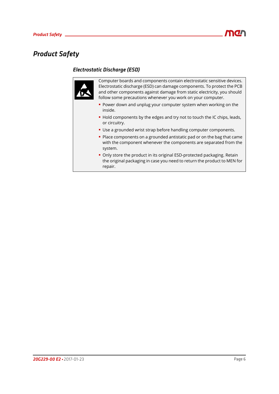# <span id="page-5-0"></span>*Product Safety*

# *Electrostatic Discharge (ESD)*

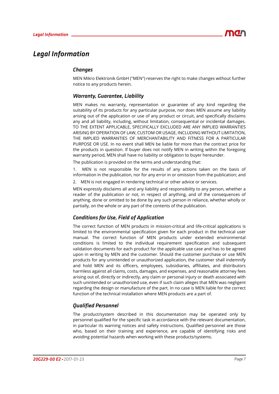# <span id="page-6-0"></span>*Legal Information*

# *Changes*

MEN Mikro Elektronik GmbH ("MEN") reserves the right to make changes without further notice to any products herein.

# *Warranty, Guarantee, Liability*

MEN makes no warranty, representation or guarantee of any kind regarding the suitability of its products for any particular purpose, nor does MEN assume any liability arising out of the application or use of any product or circuit, and specifically disclaims any and all liability, including, without limitation, consequential or incidental damages. TO THE EXTENT APPLICABLE, SPECIFICALLY EXCLUDED ARE ANY IMPLIED WARRANTIES ARISING BY OPERATION OF LAW, CUSTOM OR USAGE, INCLUDING WITHOUT LIMITATION, THE IMPLIED WARRANTIES OF MERCHANTABILITY AND FITNESS FOR A PARTICULAR PURPOSE OR USE. In no event shall MEN be liable for more than the contract price for the products in question. If buyer does not notify MEN in writing within the foregoing warranty period, MEN shall have no liability or obligation to buyer hereunder.

The publication is provided on the terms and understanding that:

1. MEN is not responsible for the results of any actions taken on the basis of information in the publication, nor for any error in or omission from the publication; and

2. MEN is not engaged in rendering technical or other advice or services.

MEN expressly disclaims all and any liability and responsibility to any person, whether a reader of the publication or not, in respect of anything, and of the consequences of anything, done or omitted to be done by any such person in reliance, whether wholly or partially, on the whole or any part of the contents of the publication.

# *Conditions for Use, Field of Application*

The correct function of MEN products in mission-critical and life-critical applications is limited to the environmental specification given for each product in the technical user manual. The correct function of MEN products under extended environmental conditions is limited to the individual requirement specification and subsequent validation documents for each product for the applicable use case and has to be agreed upon in writing by MEN and the customer. Should the customer purchase or use MEN products for any unintended or unauthorized application, the customer shall indemnify and hold MEN and its officers, employees, subsidiaries, affiliates, and distributors harmless against all claims, costs, damages, and expenses, and reasonable attorney fees arising out of, directly or indirectly, any claim or personal injury or death associated with such unintended or unauthorized use, even if such claim alleges that MEN was negligent regarding the design or manufacture of the part. In no case is MEN liable for the correct function of the technical installation where MEN products are a part of.

# *Qualified Personnel*

The product/system described in this documentation may be operated only by personnel qualified for the specific task in accordance with the relevant documentation, in particular its warning notices and safety instructions. Qualified personnel are those who, based on their training and experience, are capable of identifying risks and avoiding potential hazards when working with these products/systems.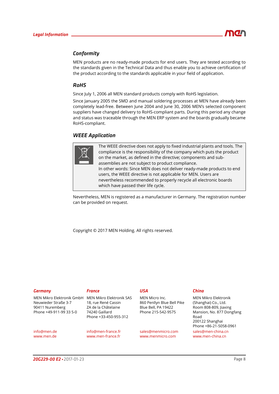# *Conformity*

MEN products are no ready-made products for end users. They are tested according to the standards given in the Technical Data and thus enable you to achieve certification of the product according to the standards applicable in your field of application.

### *RoHS*

Since July 1, 2006 all MEN standard products comply with RoHS legislation.

Since January 2005 the SMD and manual soldering processes at MEN have already been completely lead-free. Between June 2004 and June 30, 2006 MEN's selected component suppliers have changed delivery to RoHS-compliant parts. During this period any change and status was traceable through the MEN ERP system and the boards gradually became RoHS-compliant.

### *WEEE Application*



The WEEE directive does not apply to fixed industrial plants and tools. The compliance is the responsibility of the company which puts the product on the market, as defined in the directive; components and subassemblies are not subject to product compliance. In other words: Since MEN does not deliver ready-made products to end users, the WEEE directive is not applicable for MEN. Users are nevertheless recommended to properly recycle all electronic boards which have passed their life cycle.

Nevertheless, MEN is registered as a manufacturer in Germany. The registration number can be provided on request.

Copyright © 2017 MEN Holding. All rights reserved.

| Germany                                                                                         | France                                                                                                            | USA                                                                                       | China                                                                                                                         |
|-------------------------------------------------------------------------------------------------|-------------------------------------------------------------------------------------------------------------------|-------------------------------------------------------------------------------------------|-------------------------------------------------------------------------------------------------------------------------------|
| MEN Mikro Elektronik GmbH<br>Neuwieder Straße 3-7<br>90411 Nuremberg<br>Phone +49-911-99 33 5-0 | MEN Mikro Elektronik SAS<br>18, rue René Cassin<br>ZA de la Châtelaine<br>74240 Gaillard<br>Phone +33-450-955-312 | MEN Micro Inc.<br>860 Penllyn Blue Bell Pike<br>Blue Bell, PA 19422<br>Phone 215-542-9575 | MEN Mikro Elektronik<br>(Shanghai) Co., Ltd.<br>Room 808-809, Jiaxing<br>Mansion, No. 877 Dongfang<br>Road<br>200122 Shanghai |
| info@men.de<br>www.men.de                                                                       | info@men-france.fr<br>www.men-france.fr                                                                           | sales@menmicro.com<br>www.menmicro.com                                                    | Phone +86-21-5058-0961<br>sales@men-china.cn<br>www.men-china.cn                                                              |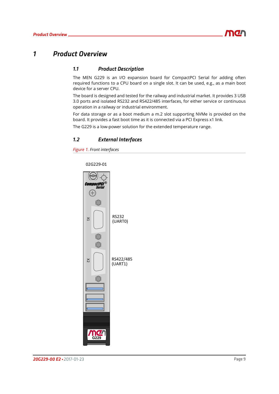# <span id="page-8-0"></span>*1 Product Overview*

# <span id="page-8-1"></span>*1.1 Product Description*

The MEN G229 is an I/O expansion board for CompactPCI Serial for adding often required functions to a CPU board on a single slot. It can be used, e.g., as a main boot device for a server CPU.

The board is designed and tested for the railway and industrial market. It provides 3 USB 3.0 ports and isolated RS232 and RS422/485 interfaces, for either service or continuous operation in a railway or industrial environment.

For data storage or as a boot medium a m.2 slot supporting NVMe is provided on the board. It provides a fast boot time as it is connected via a PCI Express x1 link.

The G229 is a low-power solution for the extended temperature range.

### <span id="page-8-2"></span>*1.2 External Interfaces*

<span id="page-8-3"></span>*Figure 1. Front interfaces*

02G229-01

**CompactPCI** ® Seria Œ RS232 X1(UART0) RS422/485  $\overline{\mathcal{Z}}$ (UART1)**G229**

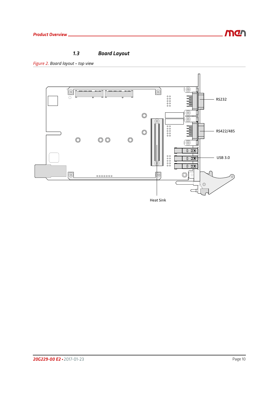

# <span id="page-9-0"></span>*1.3 Board Layout*

<span id="page-9-1"></span>*Figure 2. Board layout – top view*

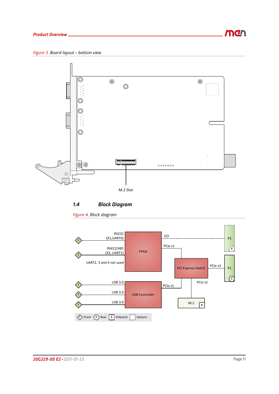

<span id="page-10-1"></span>

<span id="page-10-0"></span>*1.4 Block Diagram*

<span id="page-10-2"></span>*Figure 4. Block diagram*

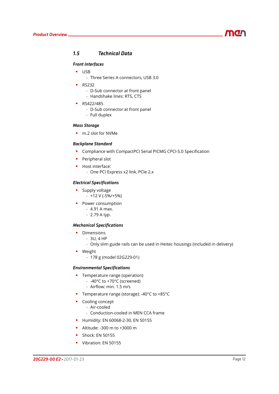

## <span id="page-11-0"></span>*1.5 Technical Data*

### *Front Interfaces*

- USB
	- Three Series A connectors, USB 3.0
- $R$ S232
	- D-Sub connector at front panel
	- Handshake lines: RTS, CTS
- **RS422/485** 
	- D-Sub connector at front panel
	- Full duplex

### *Mass Storage*

m.2 slot for NVMe

#### *Backplane Standard*

- **Compliance with CompactPCI Serial PICMG CPCI-S.0 Specification**
- **Peripheral slot**
- **Host interface:** 
	- One PCI Express x2 link, PCIe 2.x

### *Electrical Specifications*

- **Supply voltage** 
	- $+12$  V ( $-5\%$ / $+5\%$ )
- **Power consumption** 
	- 4.91 A max.
	- 2.79 A typ.

#### *Mechanical Specifications*

- **Dimensions** 
	- 3U, 4 HP
	- Only slim guide rails can be used in Heitec housings (included in delivery)
- **•** Weight
	- 178 g (model 02G229-01)

### *Environmental Specifications*

- **•** Temperature range (operation)
	- -40°C to +70°C (screened)
	- Airflow: min. 1.5 m/s
- Temperature range (storage): -40°C to +85°C
- **Cooling concept** 
	- Air-cooled
	- Conduction-cooled in MEN CCA frame
- **Humidity: EN 60068-2-30, EN 50155**
- Altitude: -300 m to +3000 m
- **Shock: EN 50155**
- Vibration: EN 50155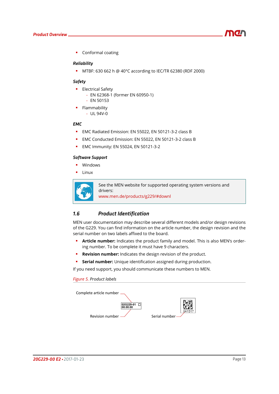

**Conformal coating** 

#### *Reliability*

MTBF: 630 662 h @ 40°C according to IEC/TR 62380 (RDF 2000)

#### *Safety*

- **Electrical Safety** 
	- EN 62368-1 (former EN 60950-1)
	- EN 50153
- **Flammability** 
	- UL 94V-0

#### *EMC*

- EMC Radiated Emission: EN 55022, EN 50121-3-2 class B
- **EMC Conducted Emission: EN 55022, EN 50121-3-2 class B**
- **EMC Immunity: EN 55024, EN 50121-3-2**

### *Software Support*

- **•** Windows
- Linux



See the MEN website for supported operating system versions and drivers:

www.men.de/products/g229/#downl

### <span id="page-12-0"></span>*1.6 Product Identification*

MEN user documentation may describe several different models and/or design revisions of the G229. You can find information on the article number, the design revision and the serial number on two labels affixed to the board.

- **Article number:** Indicates the product family and model. This is also MEN's ordering number. To be complete it must have 9 characters.
- **Revision number:** Indicates the design revision of the product.
- **Serial number:** Unique identification assigned during production.

If you need support, you should communicate these numbers to MEN.

#### <span id="page-12-1"></span>*Figure 5. Product labels*

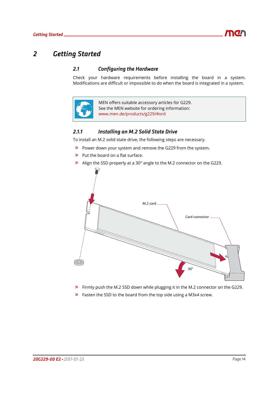# <span id="page-13-0"></span>*2 Getting Started*

# <span id="page-13-1"></span>*2.1 Configuring the Hardware*

Check your hardware requirements before installing the board in a system. Modifications are difficult or impossible to do when the board is integrated in a system.



MEN offers suitable accessory articles for G229. See the MEN website for ordering information: www.men.de/products/g229/#ord

## <span id="page-13-2"></span>*2.1.1 Installing an M.2 Solid State Drive*

To install an M.2 solid state drive, the following steps are necessary.

- » Power down your system and remove the G229 from the system.
- » Put the board on a flat surface.
- $\lambda$  Align the SSD properly at a 30 $^{\circ}$  angle to the M.2 connector on the G229.



- » Firmly push the M.2 SSD down while plugging it in the M.2 connector on the G229.
- » Fasten the SSD to the board from the top side using a M3x4 screw.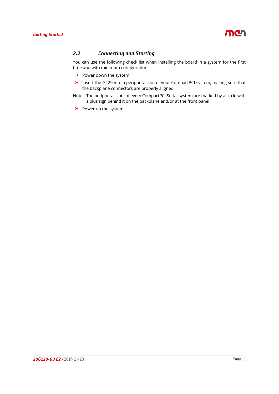

# <span id="page-14-0"></span>*2.2 Connecting and Starting*

You can use the following check list when installing the board in a system for the first time and with minimum configuration.

- » Power down the system.
- » Insert the G229 into a peripheral slot of your CompactPCI system, making sure that the backplane connectors are properly aligned.
- Note: The peripheral slots of every CompactPCI Serial system are marked by a circle with a plus sign behind it on the backplane and/or at the front panel.
- » Power up the system.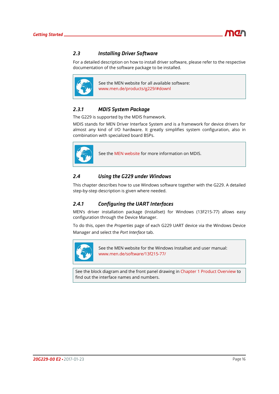

# <span id="page-15-0"></span>*2.3 Installing Driver Software*

For a detailed description on how to install driver software, please refer to the respective documentation of the software package to be installed.



See the MEN website for all available software: www.men.de/products/g229/#downl

## <span id="page-15-1"></span>*2.3.1 MDIS System Package*

The G229 is supported by the MDIS framework.

MDIS stands for MEN Driver Interface System and is a framework for device drivers for almost any kind of I/O hardware. It greatly simplifies system configuration, also in combination with specialized board BSPs.



<span id="page-15-4"></span>See the [MEN website](https://www.men.de/mdis/) for more information on MDIS.

### <span id="page-15-2"></span>*2.4 Using the G229 under Windows*

This chapter describes how to use Windows software together with the G229. A detailed step-by-step description is given where needed.

### <span id="page-15-3"></span>*2.4.1 Configuring the UART Interfaces*

MEN's driver installation package (Installset) for Windows (13F215-77) allows easy configuration through the Device Manager.

To do this, open the *Properties* page of each G229 UART device via the Windows Device Manager and select the *Port Interface* tab.



See the MEN website for the Windows Installset and user manual: www.men.de/software/13f215-77/

See the block diagram and the front panel drawing in [Chapter 1 Product Overview](#page-8-0) to find out the interface names and numbers.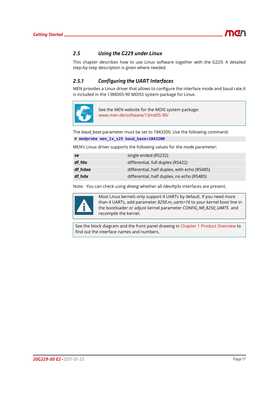

# <span id="page-16-0"></span>*2.5 Using the G229 under Linux*

This chapter describes how to use Linux software together with the G229. A detailed step-by-step description is given where needed.

# <span id="page-16-1"></span>*2.5.1 Configuring the UART Interfaces*

MEN provides a Linux driver that allows to configure the interface mode and baud rate.It is included in the 13MD05-90 MDIS5 system package for Linux.



See the MEN website for the MDIS system package: www.men.de/software/13md05-90/

The *baud\_base* parameter must be set to 1843200. Use the following command:

# **modprobe men\_lx\_z25 baud\_base=1843200**

MEN's Linux driver supports the following values for the *mode* parameter:

| se.     | single ended (RS232)                         |
|---------|----------------------------------------------|
| df fdx  | differential, full duplex (RS422)            |
| df hdxe | differential, half duplex, with echo (RS485) |
| df hdx  | differential, half duplex, no echo (RS485)   |

Note: You can check using *dmesg* whether all */dev/ttySx* interfaces are present.



Most Linux kernels only support 4 UARTs by default. If you need more than 4 UARTs, add parameter *8250.nr\_uarts=16* to your kernel boot line in the bootloader or adjust kernel parameter *CONFIG\_NR\_8250\_UARTS* and recompile the kernel.

See the block diagram and the front panel drawing in [Chapter 1 Product Overview](#page-8-0) to find out the interface names and numbers.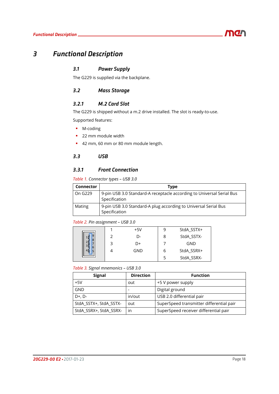# <span id="page-17-0"></span>*3 Functional Description*

# <span id="page-17-1"></span>*3.1 Power Supply*

The G229 is supplied via the backplane.

# <span id="page-17-2"></span>*3.2 Mass Storage*

# <span id="page-17-3"></span>*3.2.1 M.2 Card Slot*

The G229 is shipped without a m.2 drive installed. The slot is ready-to-use.

Supported features:

- M-coding
- **22 mm module width**
- 42 mm, 60 mm or 80 mm module length.

# <span id="page-17-4"></span>*3.3 USB*

### <span id="page-17-5"></span>*3.3.1 Front Connection*

### <span id="page-17-6"></span>*Table 1. Connector types – USB 3.0*

| <b>Connector</b> | <b>Type</b>                                                                            |
|------------------|----------------------------------------------------------------------------------------|
| On G229          | 9-pin USB 3.0 Standard-A receptacle according to Universal Serial Bus<br>Specification |
| Mating           | 9-pin USB 3.0 Standard-A plug according to Universal Serial Bus<br>Specification       |

### <span id="page-17-7"></span>*Table 2. Pin assignment – USB 3.0*

|        |   | +5V | 9 | StdA_SSTX+ |
|--------|---|-----|---|------------|
| 9<br>8 |   | D-  | 8 | StdA_SSTX- |
|        | 3 | D+  |   | GND        |
| 6<br>5 |   | GND | ь | StdA_SSRX+ |
|        |   |     | 5 | StdA_SSRX- |

<span id="page-17-8"></span>*Table 3. Signal mnemonics – USB 3.0*

| <b>Signal</b>          | <b>Direction</b> | <b>Function</b>                          |
|------------------------|------------------|------------------------------------------|
| $+5V$                  | out              | +5 V power supply                        |
| <b>GND</b>             |                  | Digital ground                           |
| $D+$ , $D-$            | in/out           | USB 2.0 differential pair                |
| StdA_SSTX+, StdA_SSTX- | out              | SuperSpeed transmitter differential pair |
| StdA_SSRX+, StdA_SSRX- | in               | SuperSpeed receiver differential pair    |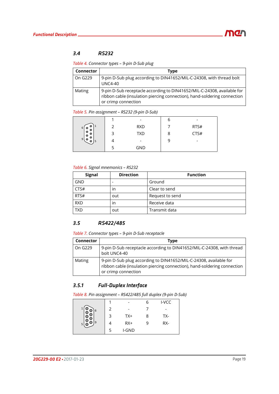# <span id="page-18-0"></span>*3.4 RS232*

<span id="page-18-3"></span>*Table 4. Connector types – 9-pin D-Sub plug*

| <b>Connector</b> | <b>Type</b>                                                                                                                                                                |
|------------------|----------------------------------------------------------------------------------------------------------------------------------------------------------------------------|
| On G229          | 9-pin D-Sub plug according to DIN41652/MIL-C-24308, with thread bolt<br><b>UNC4-40</b>                                                                                     |
| Mating           | 9-pin D-Sub receptacle according to DIN41652/MIL-C-24308, available for<br>ribbon cable (insulation piercing connection), hand-soldering connection<br>or crimp connection |

### <span id="page-18-4"></span>*Table 5. Pin assignment – RS232 (9-pin D-Sub)*

|                                       |   |            | о | -    |
|---------------------------------------|---|------------|---|------|
| 6<br>$\bullet$<br>C                   |   | <b>RXD</b> |   | RTS# |
| $\bullet$<br>$\bullet$<br>$\bullet$   | ∍ | <b>TXD</b> | 8 | CTS# |
| $\bullet$<br>9<br>$\bullet$<br>5<br>۰ |   |            | 9 | -    |
|                                       |   | <b>GND</b> |   |      |

### <span id="page-18-5"></span>*Table 6. Signal mnemonics – RS232*

| <b>Signal</b> | <b>Direction</b> | <b>Function</b> |
|---------------|------------------|-----------------|
| GND           |                  | Ground          |
| CTS#          | ın               | Clear to send   |
| RTS#          | out              | Request to send |
| <b>RXD</b>    | ın               | Receive data    |
| <b>TXD</b>    | out              | Transmit data   |

## <span id="page-18-1"></span>*3.5 RS422/485*

<span id="page-18-6"></span>

|  | Table 7. Connector types - 9-pin D-Sub receptacle |  |  |
|--|---------------------------------------------------|--|--|
|--|---------------------------------------------------|--|--|

| <b>Connector</b> | Type                                                                                                                                                                 |
|------------------|----------------------------------------------------------------------------------------------------------------------------------------------------------------------|
| On G229          | 9-pin D-Sub receptacle according to DIN41652/MIL-C-24308, with thread<br>bolt UNC4-40                                                                                |
| Mating           | 9-pin D-Sub plug according to DIN41652/MIL-C-24308, available for<br>ribbon cable (insulation piercing connection), hand-soldering connection<br>or crimp connection |

# <span id="page-18-2"></span>*3.5.1 Full-Duplex Interface*

<span id="page-18-7"></span>*Table 8. Pin assignment – RS422/485 full duplex (9-pin D-Sub)*

|   |   |       |   | I-VCC |
|---|---|-------|---|-------|
| 6 | 2 |       |   | -     |
|   | 3 | $TX+$ | ጸ | TX-   |
| 9 |   | $RX+$ |   | RX-   |
|   | 5 | I-GND |   |       |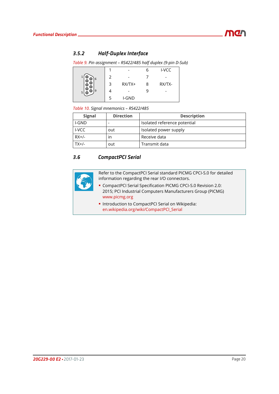# <span id="page-19-0"></span>*3.5.2 Half-Duplex Interface*

<span id="page-19-2"></span>*Table 9. Pin assignment – RS422/485 half duplex (9-pin D-Sub)*

|        |               |          |   | I-VCC  |
|--------|---------------|----------|---|--------|
| 6      | $\mathcal{P}$ |          |   |        |
|        | 3             | $RX/TX+$ | 8 | RX/TX- |
| 9<br>5 |               |          |   |        |
|        | 5             | I-GND    |   |        |

### <span id="page-19-3"></span>*Table 10. Signal mnemonics – RS422/485*

| <b>Signal</b> | <b>Direction</b> | <b>Description</b>           |
|---------------|------------------|------------------------------|
| I-GND         |                  | Isolated reference potential |
| I-VCC         | out              | Isolated power supply        |
| $RX+/-$       | ın               | Receive data                 |
| $TX+/-$       | out              | Transmit data                |

# <span id="page-19-1"></span>*3.6 CompactPCI Serial*



Refer to the CompactPCI Serial standard PICMG CPCI-S.0 for detailed information regarding the rear I/O connectors.

- CompactPCI Serial Specification PICMG CPCI-S.0 Revision 2.0: 2015; PCI Industrial Computers Manufacturers Group (PICMG) [www.picmg.org](http://www.picmg.org)
- **Introduction to CompactPCI Serial on Wikipedia:** [en.wikipedia.org/wiki/CompactPCI\\_Serial](http://en.wikipedia.org/wiki/CompactPCI_Serial)